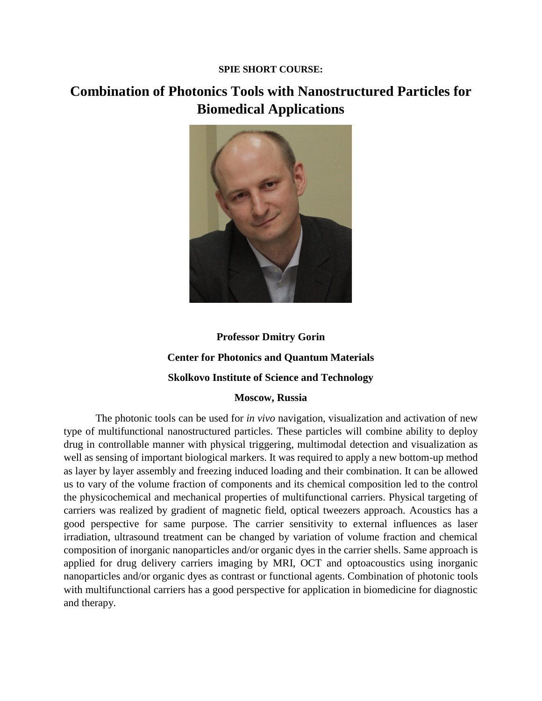#### **SPIE SHORT COURSE:**

## **Combination of Photonics Tools with Nanostructured Particles for Biomedical Applications**



# **Professor Dmitry Gorin Center for Photonics and Quantum Materials Skolkovo Institute of Science and Technology**

#### **Moscow, Russia**

The photonic tools can be used for *in vivo* navigation, visualization and activation of new type of multifunctional nanostructured particles. These particles will combine ability to deploy drug in controllable manner with physical triggering, multimodal detection and visualization as well as sensing of important biological markers. It was required to apply a new bottom-up method as layer by layer assembly and freezing induced loading and their combination. It can be allowed us to vary of the volume fraction of components and its chemical composition led to the control the physicochemical and mechanical properties of multifunctional carriers. Physical targeting of carriers was realized by gradient of magnetic field, optical tweezers approach. Acoustics has a good perspective for same purpose. The carrier sensitivity to external influences as laser irradiation, ultrasound treatment can be changed by variation of volume fraction and chemical composition of inorganic nanoparticles and/or organic dyes in the carrier shells. Same approach is applied for drug delivery carriers imaging by MRI, OCT and optoacoustics using inorganic nanoparticles and/or organic dyes as contrast or functional agents. Combination of photonic tools with multifunctional carriers has a good perspective for application in biomedicine for diagnostic and therapy.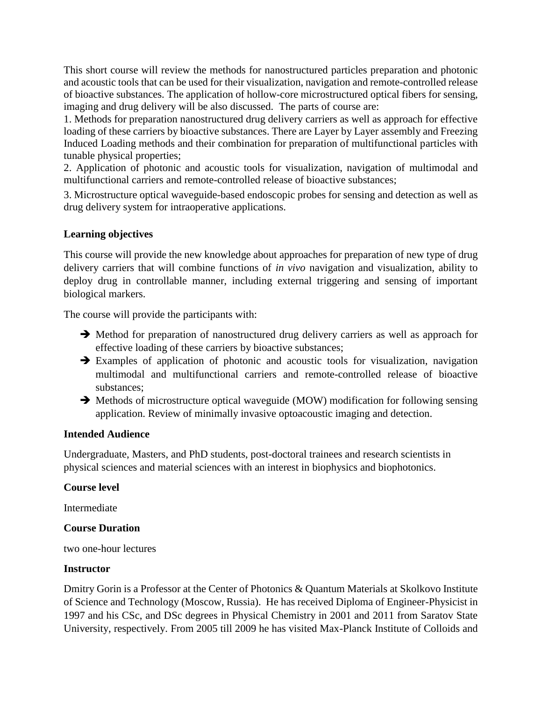This short course will review the methods for nanostructured particles preparation and photonic and acoustic tools that can be used for their visualization, navigation and remote-controlled release of bioactive substances. The application of hollow-core microstructured optical fibers for sensing, imaging and drug delivery will be also discussed. The parts of course are:

1. Methods for preparation nanostructured drug delivery carriers as well as approach for effective loading of these carriers by bioactive substances. There are Layer by Layer assembly and Freezing Induced Loading methods and their combination for preparation of multifunctional particles with tunable physical properties;

2. Application of photonic and acoustic tools for visualization, navigation of multimodal and multifunctional carriers and remote-controlled release of bioactive substances;

3. Microstructure optical waveguide-based endoscopic probes for sensing and detection as well as drug delivery system for intraoperative applications.

## **Learning objectives**

This course will provide the new knowledge about approaches for preparation of new type of drug delivery carriers that will combine functions of *in vivo* navigation and visualization, ability to deploy drug in controllable manner, including external triggering and sensing of important biological markers.

The course will provide the participants with:

- → Method for preparation of nanostructured drug delivery carriers as well as approach for effective loading of these carriers by bioactive substances;
- ➔ Examples of application of photonic and acoustic tools for visualization, navigation multimodal and multifunctional carriers and remote-controlled release of bioactive substances;
- ➔ Methods of microstructure optical waveguide (MOW) modification for following sensing application. Review of minimally invasive optoacoustic imaging and detection.

### **Intended Audience**

Undergraduate, Masters, and PhD students, post-doctoral trainees and research scientists in physical sciences and material sciences with an interest in biophysics and biophotonics.

### **Course level**

Intermediate

### **Course Duration**

two one-hour lectures

### **Instructor**

Dmitry Gorin is a Professor at the Center of Photonics & Quantum Materials at Skolkovo Institute of Science and Technology (Moscow, Russia). He has received Diploma of Engineer-Physicist in 1997 and his CSc, and DSc degrees in Physical Chemistry in 2001 and 2011 from Saratov State University, respectively. From 2005 till 2009 he has visited Max-Planck Institute of Colloids and